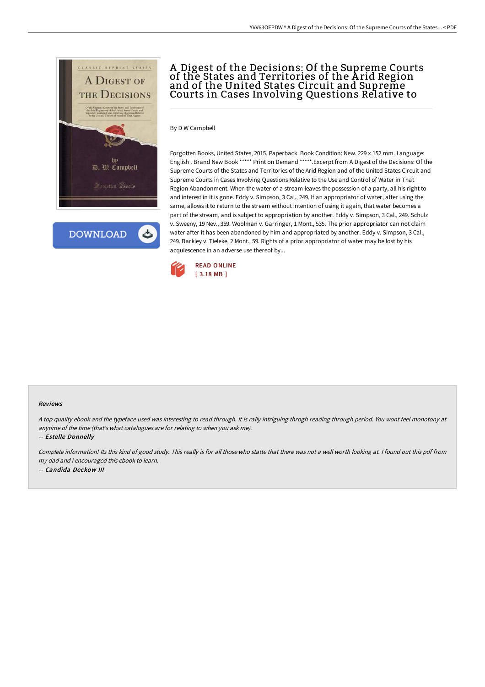

**DOWNLOAD** 

# A Digest of the Decisions: Of the Supreme Courts of the States and Territories of the A rid Region and of the United States Circuit and Supreme Courts in Cases Involving Questions Relative to

By D W Campbell

Forgotten Books, United States, 2015. Paperback. Book Condition: New. 229 x 152 mm. Language: English . Brand New Book \*\*\*\*\* Print on Demand \*\*\*\*\*.Excerpt from A Digest of the Decisions: Of the Supreme Courts of the States and Territories of the Arid Region and of the United States Circuit and Supreme Courts in Cases Involving Questions Relative to the Use and Control of Water in That Region Abandonment. When the water of a stream leaves the possession of a party, all his right to and interest in it is gone. Eddy v. Simpson, 3 Cal., 249. If an appropriator of water, after using the same, allows it to return to the stream without intention of using it again, that water becomes a part of the stream, and is subject to appropriation by another. Eddy v. Simpson, 3 Cal., 249. Schulz v. Sweeny, 19 Nev., 359. Woolman v. Garringer, 1 Mont., 535. The prior appropriator can not claim water after it has been abandoned by him and appropriated by another. Eddy v. Simpson, 3 Cal., 249. Barkley v. Tieleke, 2 Mont., 59. Rights of a prior appropriator of water may be lost by his acquiescence in an adverse use thereof by...



#### Reviews

<sup>A</sup> top quality ebook and the typeface used was interesting to read through. It is rally intriguing throgh reading through period. You wont feel monotony at anytime of the time (that's what catalogues are for relating to when you ask me).

-- Estelle Donnelly

Complete information! Its this kind of good study. This really is for all those who statte that there was not <sup>a</sup> well worth looking at. <sup>I</sup> found out this pdf from my dad and i encouraged this ebook to learn. -- Candida Deckow III